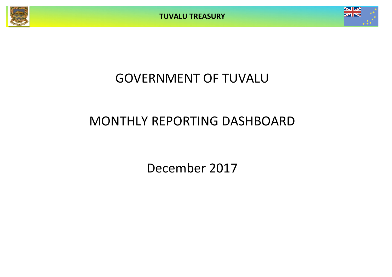**TUVALU TREASURY**



# GOVERNMENT OF TUVALU

# MONTHLY REPORTING DASHBOARD

December 2017

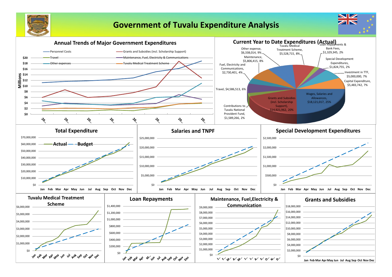

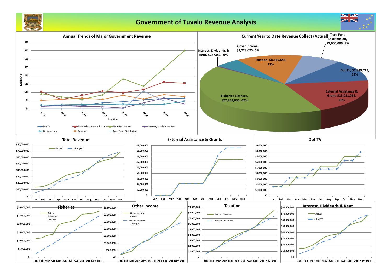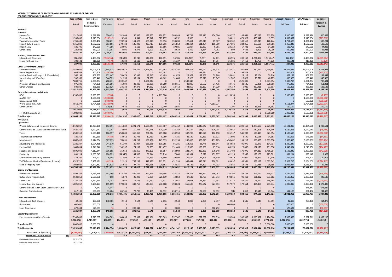### **MONTHLY STATEMENT OF RECEIPTS AND PAYMENTS BY NATURE OF EXPENSE FOR THE PERIOD ENDED 31-12-2017**

| <b>ON THE FEINOD ENDED 31-12-201</b>                         | <b>Year to Date</b>   | Year to Date          | Year to Date             | January              | February              | March               | April              | May                 | June                              | July                | August              | September           | October            | November                                | December             | <b>Actual + Forecast</b> | 2017 Budget           | Variance                 |
|--------------------------------------------------------------|-----------------------|-----------------------|--------------------------|----------------------|-----------------------|---------------------|--------------------|---------------------|-----------------------------------|---------------------|---------------------|---------------------|--------------------|-----------------------------------------|----------------------|--------------------------|-----------------------|--------------------------|
|                                                              | Actual                | Budget &              | Variance                 | Actual               | Actual                | Actual              | Actual             | Actual              | Actual                            | Actual              | Actual              | Actual              | Actual             | Actual                                  | Actual               | <b>Full Year</b>         | <b>Full Year</b>      | Forecast &               |
|                                                              |                       | Supplementary         |                          |                      |                       |                     |                    |                     |                                   |                     |                     |                     |                    |                                         |                      |                          |                       | <b>Budget</b>            |
| <b>RECEIPTS</b>                                              |                       |                       |                          |                      |                       |                     |                    |                     |                                   |                     |                     |                     |                    |                                         |                      |                          |                       |                          |
| <b>Taxation</b><br>Income Tax                                | 2,310,435             | 1,689,996             | 620,439                  | 192,809              | 156,586               | 192,557             | 128,852            | 205,989             | 192,784                           | 229,110             | 154,086             | 189,377             | 184,651            | 170,297                                 | 313,338              | 2,310,435                | 1,689,996             | 620,439                  |
| Company Tax                                                  | 1,599,492             | 2,315,004             | (715, 512)               | 5,583                | 1,641                 | 75,342              | 527,257            | 10,252              | 9,500                             |                     | $\overline{0}$      | 24,011              | 471,529            | 465,342                                 | 9,035                | 1,599,492                | 2,315,004             | (715, 512)               |
| <b>Tuvalu Consumption Taxes</b>                              | 1,761,683             | 1,381,452             | 380,231                  | 170,934              | 161,323               | 189,341             | 97,896             | 150,690             | 127,414                           | 123,810             | 65,967              | 183,302             | 189,519            | 123,243                                 | 178,244              | 1,761,683                | 1,381,452             | 380,231                  |
| Import Duty & Excise                                         | 2,365,848             | 1,682,652             | 683,196                  | 270,438              | 135,020               | 223,713             | 130,715            | 255,863             | 232,414                           | 131,494             | 100,309             | 217,591             | 244,865            | 163,665                                 | 259,761              | 2,365,848                | 1,682,652             | 683,196                  |
| Import Levy                                                  | 186,706               | 142,620               | 44,086                   | 23,005               | 8,113                 | 20,118              | 11,866             | 19,885              | 15,807                            | 19,257              | 6,961               | 22,323              | 17,701             | 7,582                                   | 14,088               | 186,706                  | 142,620               | 44,086                   |
| <b>Other Taxes</b>                                           | 220,981               | 189,000<br>7,400,724  | 31,981                   | 4,896                | 3,273<br>465,956      | 1,500<br>702,571    | 83,076<br>979,662  | 2,634<br>645,314    | 1,400<br>579,318                  | 6,184<br>509,855    | 4,781<br>332,104    | 500<br>637,104      | 7,843<br>1,116,109 | 5,993<br>936,122                        | 98,900<br>873,365    | 220,981                  | 189,000<br>7,400,724  | 31,981<br>1,044,421      |
| Interest, Dividends and Rent                                 | 8,445,145             |                       | 1,044,421                | 667,665              |                       |                     |                    |                     |                                   |                     |                     |                     |                    |                                         |                      | 8,445,145                |                       |                          |
| <b>Interest and Dividends</b>                                | (22, 102)             | 2,483,862             | (2,505,964)              | (24, 530)            | 38,240                | 144,360             | 160,691            | 54,785              | (54, 273)                         | (5, 577)            | 64,131              | 86,596              | 208,167            | 1,231,354                               | (1,926,047)          | (22, 102)                | 2,483,862             | (2,505,964)              |
| Lease, rent and hire                                         | 309,141               | 316,320               | (7, 179)                 | 42,322               | 13,112                | 22,185              | 24,205             | 35,337              | 3,189                             | 35,855              | 14,514              | 36,581              | 17,452             | 19,755                                  | 44,635               | 309,141                  | 316,320               | (7, 179)                 |
|                                                              | 287,039               | 2,800,182             | (2,513,143)              | 17,793               | 51,351                | 166,545             | 184,896            | 90,122              | (51,084)                          | 30,278              | 78,645              | 123,176             | 225,619            | 1,251,109                               | (1,881,411)          | 287,039                  | 2,800,182             | (2,513,143)              |
| <b>Other Government Charges</b><br><b>Fisheries Licenses</b> | 27,854,036            | 25,005,108            | 2,848,928                | 10,688,013           | 702,706               | 1,848,187           | 617,963            | 5,938,746           | 963,507                           | 749,072             | 1,098,424           | 3,327,471           | 300,048            | 380,547                                 | 1,239,351            | 27,854,036               | 25,005,108            | 2,848,928                |
| <b>Vessel Registrations</b>                                  | 644,803               | 800,508               | (155, 705                | -0                   |                       |                     | 245,461            | $\overline{0}$      |                                   | 199,524             | $\mathbf 0$         |                     | 199,818            | $\overline{0}$                          |                      | 644,803                  | 800,508               | (155, 705)               |
| Marine Services (Nivaga II & Manu Folau)                     | 562,199               | 409,752               | 152,447                  | 70,674               | 30,345                | 42,647              | 43,489             | 61,874              | 28,972                            | 37,252              | 59,268              | 26,081              | 29,117             | 73,264                                  | 59,216               | 562,199                  | 409,752               | 152,447                  |
| Stevedoring and Wharfage                                     | 536,969               | 190,440               | 346,529                  | 31,296               | 37,154                | 37,930              | 48,162             | 31,686              | 17,925                            | 23,310              | 73,847              | 91,787              | 15,822             | 79,776                                  | 48,275               | 536,969                  | 190,440               | 346,529                  |
| .TV                                                          | 7,839,715             | 7,051,284             | 788,431                  | 1,639,342            |                       | 1,551,344           |                    |                     | 1,580,340                         |                     | $\overline{0}$      |                     | 1,525,095          |                                         | 1,543,594            | 7,839,715                | 7,051,284             | 788,431                  |
| Provision of Goods and Services                              | 975,399               | 724,308               | 251,091                  | 45,094               | 32,380                | 29,839              | 50,709             | 158,116             | 39,006                            | 68,652              | 34,475              | 42,471              | 43,525             | 52,281                                  | 378,851              | 975,399                  | 724,308               | 251,091                  |
| <b>Other Charges</b>                                         | 509,806<br>38,922,926 | 386,280<br>34,567,680 | 123,526<br>4,355,246     | 24,338<br>12,498,757 | 27,273<br>829,859     | 14,882<br>3,524,829 | 9,826<br>1,015,610 | 12,418<br>6,202,838 | 23,850<br>2,653,599               | 83,167<br>1,160,978 | 14,029<br>1,280,044 | 19,759<br>3,507,568 | 9,029<br>2,122,453 | 237,418<br>823,286                      | 33,817<br>3,303,104  | 509,806<br>38,922,926    | 386,280<br>34,567,680 | 123,526<br>4,355,246     |
| <b>External Assistance and Grants</b>                        |                       |                       |                          |                      |                       |                     |                    |                     |                                   |                     |                     |                     |                    |                                         |                      |                          |                       |                          |
| <b>ROC</b>                                                   | 8,330,630             | 8,333,333             | (2,703)                  | $\Omega$             |                       | $\Omega$            | 4,215,580          | 0                   |                                   |                     | $\mathbf{0}$        | 4,115,050           | $\Omega$           | $\Omega$                                |                      | 8,330,630                | 8,333,333             | (2,703)                  |
| AusAID (CIF)                                                 |                       | 1,500,000             | 1,500,000                |                      |                       |                     |                    |                     |                                   |                     | $\Omega$            |                     |                    |                                         |                      | $\Omega$                 | 1,500,000             | (1,500,000)              |
| New Zealand (CIF)                                            |                       | 500,000               | (500,000                 |                      |                       |                     |                    |                     |                                   |                     | $\Omega$            |                     |                    |                                         |                      |                          | 500,000               | (500,000)                |
| World Bank, IMF, ADB<br><b>Other Donors</b>                  | 4,561,274<br>119,152  | 6,794,868             | (2, 233, 594)<br>119,152 | 17,682               | 253                   | 24,095              | 3,749              | $\Omega$<br>8,036   | 634                               |                     | 4,561,274           | 5,206               | 7,218              | 15,916                                  | 36,363               | 4,561,274<br>119,152     | 6,794,868             | (2, 233, 594)<br>119,152 |
|                                                              | 13,011,056            | 17,128,201            | (4, 117, 145)            | 17,682               | 253                   | 24,095              | 4,219,329          | 8,036               | 634                               | O                   | 4,561,274           | 4,120,256           | 7,218              | 15,916                                  | 36,363               | 13,011,056               | 17,128,201            | (4, 117, 145)            |
| TTF Distribution to CIF                                      | 5,000,000             | 6,699,996             | (1,699,996)              | $\Omega$             |                       |                     |                    | $\Omega$            |                                   |                     | $\Omega$            | $\Omega$            | $\Omega$           |                                         | 5,000,000            | 5,000,000                | 6,699,996             | (1,699,996)              |
| <b>Total Receipts</b>                                        | 65,666,166            | 68,596,783            | (2,930,61)               | 13,201,897           | 1,347,420             | 4,418,040           | 6,399,497          | 6,946,310           | 3,182,467                         | 1,701,111           | 6,252,067           | 8,388,104           | 3,471,398          | 3,026,433                               | 7,331,421            | 65,666,166               | 68,596,783            | (2,930,617)              |
| <b>PAYMENTS</b>                                              |                       |                       |                          |                      |                       |                     |                    |                     |                                   |                     |                     |                     |                    |                                         |                      |                          |                       |                          |
| <b>Operations</b>                                            |                       |                       |                          |                      |                       |                     |                    |                     |                                   |                     |                     |                     |                    |                                         |                      |                          |                       |                          |
| Wages, Salaries, and Employee Benefits                       | 18,121,017            | 18,273,108            | 152,091                  | 1,341,882            | 1,221,171             | 1,559,944           | 1,337,507          | 1,396,462           | L,431,902                         | 2,047,047           | 1,391,666           | 1,358,464           | 1,390,169          | 1,373,107                               | 2,271,698            | 18,121,017               | 19,404,608            | 1,283,591                |
| <b>Contributions to Tuvalu National Provident Fund</b>       | 1,589,266             | 1,622,547             | 33,281                   | 114,993              | 110,891               | 132,945             | 124,930            | 118,759             | 120,194                           | 188,521             | 120,094             | 112,086             | 134,813            | 112,895                                 | 198,146              | 1,589,266                | 1,540,580             | (48, 686)                |
| Travel                                                       | 4,586,513             | 4,693,410             | 106,897                  | 258,083              | 366,060               | 201,244             | 205,688            | 430,959             | 307,299                           | 349,678             | 402,190             | 325,137             | 545,909            | 670,413                                 | 523,854              | 4,586,513                | 2,879,965             | (1,706,548)              |
| Telephone and Internet                                       | 189,353               | 182,169               | (7, 183)                 | 14,012               | 39,738                | 12,411              | 9,269              | 14,185              | 21,140                            | 20,360              | 13,321              | 11,608              | 8,590              | 10,538                                  | 14,181               | 189,353                  | 175,189               | (14, 163)                |
| Maintenance                                                  | 5,806,415             | 6,174,054             | 367,639                  | 78,631               | 181,252               | 168,196             | 149,839            | 232,133             | 206,669                           | 508,049             | 431,105             | 1,450,402           | 151,212            | 655,595                                 | 1,593,330            | 5,806,415                | 5,103,001             | (703, 414)               |
| <b>Advertising and Provisions</b>                            | 1,280,247             | 1,524,418             | 244,170                  | 61,309               | 80,004                | 131,286             | 105,255            | 66,281              | 154,263                           | 88,748              | 165,544             | 154,688             | 95,079             | 63,073                                  | 114,717              | 1,280,247                | 1,152,682             | (127, 565)               |
| Fuel and Oil                                                 | 1,649,834             | 1,746,946             | 97,111                   | 130,997              | 174,132               | 81,553              | 121,457            | 131,483             | 215,560                           | 128,988             | 65,610              | 86,175              | 129,880            | 152,170                                 | 231,830              | 1,649,834                | 1,245,356             | (404, 479)               |
| <b>Supplies and Equipment</b>                                | 3,596,049             | 4,112,244             | 516,195                  | 35,052               | 108,850               | 249,100             | 55,567             | 142,903             | 223,177                           | 210,360             | 279,648             | 311,498             | 179,075            | 344,813                                 | 1,456,004            | 3,596,049                | 3,353,839             | (242, 209)               |
| Electricity                                                  | 891,214               | 1,000,043             | 108,829                  | (84, 340)            | 144,506               | 60,844              | 53,214             | 7,800               | 101,931                           | 5,228               | 159,937             | 62,125              | 26,358             | 128,109                                 | 225,501              | 891,214                  | 893,142               | 1,928                    |
| Senior Citizen Scheme / Pension                              | 377,794               | 394,192               | 16,398                   | 31,899               | 29,449                | 29,869              | 29,589             | 30,499              | 29,519                            | 31,104              | 30,639              | 28,679              | 30,079             | 28,959                                  | 47,509               | 377,794                  | 398,700               | 20,906                   |
| TMTS (Tuvalu Medical Treatment Scheme)                       | 5,528,715             | 5,467,191             | (61, 524)                | 22,920               | 752,232               | 418,490             | 213,351            | 451,333             | 968,441                           | 343,611             | 298,601             | 83,097              | 89,961             | 853,137                                 | 1,033,542            | 5,528,715                | 3,004,000             | (2,524,715)              |
| Land & Property Rent                                         | 1,083,924             | 1,141,452             | 57,528                   | 35,686               | 27,544                | 731,235             | 20,553             | 42,835              | 42,125                            | 34,329              | 44,002              | 25,086              | 13,378             | 27,986                                  | 39,165               | 1,083,924                | 1,166,407             | 82,483                   |
|                                                              | 44,700,341            | 46,331,774            | 1,631,433                | 2,041,124            | 3,235,828             | 3,777,118           | 2,426,219          | 3,065,632           | 3,822,221                         | 3,956,023           | 3,402,357           | 4,009,046           | 2,794,503          | 4,420,794                               | 7,749,476            | 44,700,341               | 40,317,469            | (4, 382, 872)            |
| <b>Grants and Subsidies</b>                                  |                       |                       |                          |                      |                       |                     |                    |                     |                                   |                     |                     |                     |                    |                                         |                      |                          |                       |                          |
| <b>Grants and Subsidies</b>                                  | 5,592,267             | 5,935,436             | 343,169                  | 822,793              | 849,377               | 490,149             | 490,346            | 338,316             | 353,318                           | 285,791             | 456,082             | 110,198             | 277,103            | 249,122                                 | 869,672              | 5,592,267                | 5,413,918             | (178, 349)               |
| Outer Island Projects (SDE)                                  | 2,539,862             | 2,539,980             | 118                      | 5,870                | 39,093                | 7,969               | 728,139            | 42,850              | 47,542                            | 26,729              | 507,043             | 578,811             | 90,312             | 131,822                                 | 333,682              | 2,539,862                | 2,880,000             | 340,138                  |
| Other SDEs                                                   | 1,146,713             | 1,150,759             | 4,047                    | 7,960                | 12,628                | 22,251              | 23,531             | 47,955              | 54,091                            | 25,830              | 23,343              | 172,118             | 62,569             | 48,652                                  | 645,784              | 1,146,713                | 126,180               | (1,020,533)              |
| <b>Scholarships and Support</b>                              | 5,026,017             | 5,181,177             | 155,159                  | 579,038              | 343,768               | 643,904             | 230,608            | 398,624             | 656,697                           | 273,542             | 523,693             | 517,972             | 172,664            | 434,464                                 | 251,044              | 5,026,017                | 6,399,350             | 1,373,333                |
| Contribution to Japan Grant Counterpart Fund                 |                       | 4,147                 | 4,147                    | C                    |                       |                     |                    |                     |                                   |                     | $\mathbf{0}$        |                     | $\Omega$           | $\overline{0}$                          |                      | 0                        | 278,847               | 278,847                  |
| <b>Overseas Contributions</b>                                | 617,103               | 650,507               | 33,404                   | 65,745               | 73,700                | 43,455              | 18,572             | 238,715             | 12,186                            | 77,590              | 32,092              | (61)                | 1,017              | 10,548                                  | 43,544               | 617,103                  | 861,492               | 244,389                  |
|                                                              | 14,921,962            | 15,462,005            | 540,043                  | 1,481,405            | 1,318,566             | 1,207,728           | 1,491,195          | 1,066,461           | 1,123,835                         | 689,482             | 1,542,254           | 1,379,039           | 603,665            | 874,608                                 | 2,143,724            | 14,921,962               | 15,959,787            | 1,037,825                |
| <b>Loans and Interest</b>                                    |                       |                       |                          |                      |                       |                     |                    |                     |                                   |                     |                     |                     |                    |                                         |                      |                          |                       |                          |
| Interest and Bank Charges                                    | 42,403                | 190,908               | 148,505                  | 2,114                | 2,624                 | 3,641               | 2,116              | 2,543               | 3,083                             | 2,251               | 2,317               | 2,568               | 1,645              | 3,149                                   | 14,351               | 42,403                   | 256,478               | 214,075                  |
| Guarantees                                                   | 600,000               | 600,000               |                          | $\Omega$             |                       |                     |                    | C                   | - 0                               |                     | $\Omega$            | 600,000             |                    | $\overline{0}$                          |                      | 600,000                  |                       | (600,000)                |
| Loan Repayment                                               | 678,634               | 678,633               |                          |                      | 289,342               |                     |                    | 9,000               |                                   |                     | 380,292             |                     |                    |                                         |                      | 678,634                  | 640,281               | (38, 353)                |
|                                                              | 1,321,037             | 1,469,541             | 148,505                  | 2,114                | 291,966               | 3,641               | 2,116              | 11,543              | 3,083                             | 2,251               | 382,610             | 602,568             | 1,645              | 3,149                                   | 14,351               | 1,321,037                | 896,759               | (424, 278)               |
| <b>Capital Expenditures</b>                                  |                       |                       |                          |                      |                       |                     |                    |                     |                                   |                     |                     |                     |                    |                                         |                      |                          |                       |                          |
| Purchase/construction of assets                              | 7,308,498             | 7,713,087             | 404,589                  | 104,035              | 173,982               | 426,136             | 525,569            | 797,507             | 277,006                           | 757,287             | 852,314             | 193,200             | 330,505            | 1,096,392                               | 1,774,564            | 7,308,498                | 8,697,711             | 1,389,213                |
|                                                              | 7,308,498             | 7,713,087             | 404,589                  | 104,035              | 173,982               | 426,136             | 525,569            | 797,507             | 277,006                           | 757,287             | 852,314             | 193,200             | 330,505            | 1,096,392                               | 1,774,564            | 7,308,498                | 8,697,711             | 1,389,213                |
| <b>Transfer to TTF</b>                                       | 5,000,000             | 5,000,000             |                          |                      |                       |                     |                    |                     |                                   |                     | $\Omega$            |                     | O                  |                                         | 5,000,000            | 5,000,000                | 5,000,000             |                          |
| <b>Total Payments</b>                                        | 73,251,837            | 75,976,408            | 2,724,570                | 3,628,679            | 5,020,343             | 5,414,622           | 4,445,099          |                     | 4,941,142 5,226,145 5,405,043     |                     | 6,179,535           | 6,183,853           | 3,730,317          |                                         | 6,394,944 16,682,116 | 73,251,837               | 70,871,726            | (2,380,111)              |
| NET SURPLUS / (DEFICIT)                                      | (7,585,672)           | (7, 379, 625)         | (206, 047)               |                      | 9,573,218 (3,672,923) | (996, 582)          | 1,954,398          |                     | 2,005,168 (2,043,677) (3,703,932) |                     | 72,533              | 2,204,252           |                    | $(258,919)$ $(3,368,511)$ $(9,350,695)$ |                      | (7,585,672)              | (2, 274, 943)         | (5,310,728)              |
| \$M<br><b>FORECAST CASH POSITION</b>                         | 20.7                  |                       |                          | 24.9                 | 21.2                  | 20.2                | 22.1               | 24.1                | 22.1                              | 18.4                | 18.5                | 20.7                | 20.4               | 17.0                                    | 7.7                  |                          |                       |                          |
| Consolidated Investment Fund                                 | 21,789,332            |                       |                          |                      |                       |                     |                    |                     |                                   |                     |                     |                     |                    |                                         |                      |                          |                       |                          |
| <b>General Current Account</b>                               | $-1,115,068$          |                       |                          |                      |                       |                     |                    |                     |                                   |                     |                     |                     |                    |                                         |                      |                          |                       |                          |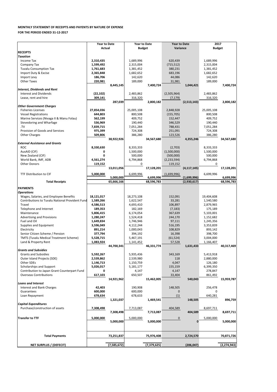|                                                 | <b>Year to Date</b> |             | <b>Year to Date</b> |               | <b>Year to Date</b> |               | 2017          |               |
|-------------------------------------------------|---------------------|-------------|---------------------|---------------|---------------------|---------------|---------------|---------------|
|                                                 | <b>Actual</b>       |             | <b>Budget</b>       |               | Variance            |               | <b>Budget</b> |               |
| <b>RECEIPTS</b>                                 |                     |             |                     |               |                     |               |               |               |
| <b>Taxation</b>                                 |                     |             |                     |               |                     |               |               |               |
| Income Tax                                      | 2,310,435           |             | 1,689,996           |               | 620,439             |               | 1,689,996     |               |
| Company Tax                                     | 1,599,492           |             | 2,315,004           |               | (715, 512)          |               | 2,315,004     |               |
| <b>Tuvalu Consumption Tax</b>                   | 1,761,683           |             | 1,381,452           |               | 380,231             |               | 1,381,452     |               |
| Import Duty & Excise                            | 2,365,848           |             | 1,682,652           |               | 683,196             |               | 1,682,652     |               |
| Import Levy                                     | 186,706             |             | 142,620             |               | 44,086              |               | 142,620       |               |
| <b>Other Taxes</b>                              | 220,981             |             | 189,000             |               | 31,981              |               | 189,000       |               |
| <b>Interest, Dividends and Rent</b>             |                     | 8,445,145   |                     | 7,400,724     |                     | 1,044,421     |               | 7,400,724     |
| <b>Interest and Dividends</b>                   | (22, 102)           |             | 2,483,862           |               | (2,505,964)         |               | 2,483,862     |               |
| Lease, rent and hire                            | 309,141             |             | 316,320             |               | (7, 179)            |               | 316,320       |               |
|                                                 |                     | 287,039     |                     | 2,800,182     |                     | (2,513,143)   |               | 2,800,182     |
| <b>Other Government Charges</b>                 |                     |             |                     |               |                     |               |               |               |
| <b>Fisheries Licenses</b>                       | 27,854,036          |             | 25,005,108          |               | 2,848,928           |               | 25,005,108    |               |
| <b>Vessel Registrations</b>                     | 644,803             |             | 800,508             |               | (155, 705)          |               | 800,508       |               |
| Marine Services (Nivaga II & Manu Folau)        | 562,199             |             | 409,752             |               | 152,447             |               | 409,752       |               |
| Stevedoring and Wharfage                        | 536,969             |             | 190,440             |               | 346,529             |               | 190,440       |               |
| .TV                                             | 7,839,715           |             | 7,051,284           |               | 788,431             |               | 7,051,284     |               |
| Provision of Goods and Services                 | 975,399             |             | 724,308             |               | 251,091             |               | 724,308       |               |
| <b>Other Charges</b>                            | 509,806             |             | 386,280             |               | 123,526             |               | 386,280       |               |
|                                                 |                     | 38,922,926  |                     | 34,567,680    |                     | 4,355,246     |               | 34,567,680    |
| <b>External Assistance and Grants</b>           |                     |             |                     |               |                     |               |               |               |
| <b>ROC</b>                                      | 8,330,630           |             | 8,333,333           |               | (2,703)             |               | 8,333,333     |               |
| AusAID (CIF)                                    | 0                   |             | 1,500,000           |               | (1,500,000)         |               | 1,500,000     |               |
| New Zealand (CIF)                               | 0                   |             | 500,000             |               | (500,000)           |               | 500,000       |               |
| World Bank, IMF, ADB                            | 4,561,274           |             | 6,794,868           |               | (2, 233, 594)       |               | 6,794,868     |               |
| <b>Other Donors</b>                             |                     |             | 0                   |               |                     |               | $\mathbf{0}$  |               |
|                                                 | 119,152             |             |                     |               | 119,152             |               |               |               |
|                                                 |                     | 13,011,056  |                     | 17,128,201    |                     | (4, 117, 145) |               | 17,128,201    |
| TTF Distribution to CIF                         | 5,000,000           |             | 6,699,996           |               | (1,699,996)         |               | 6,699,996     |               |
|                                                 |                     | 5,000,000   |                     | 6,699,996     |                     | (1,699,996)   |               | 6,699,996     |
| <b>Total Receipts</b>                           |                     | 65,666,166  |                     | 68,596,783    |                     | (2,930,617)   |               | 68,596,783    |
| <b>PAYMENTS</b>                                 |                     |             |                     |               |                     |               |               |               |
| <b>Operations</b>                               |                     |             |                     |               |                     |               |               |               |
| Wages, Salaries, and Employee Benefits          | 18,121,017          |             | 18,273,108          |               | 152,091             |               | 19,404,608    |               |
| Contributions to Tuvalu National Provident Fund | 1,589,266           |             | 1,622,547           |               | 33,281              |               | 1,540,580     |               |
| Travel                                          | 4,586,513           |             | 4,693,410           |               | 106,897             |               | 2,879,965     |               |
| Telephone and Internet                          | 189,353             |             | 182,169             |               | (7, 183)            |               | 175,189       |               |
| Maintenance                                     | 5,806,415           |             | 6,174,054           |               | 367,639             |               | 5,103,001     |               |
| <b>Advertising and Provisions</b>               | 1,280,247           |             | 1,524,418           |               | 244,170             |               | 1,152,682     |               |
| Fuel and Oil                                    | 1,649,834           |             | 1,746,946           |               | 97,111              |               | 1,245,356     |               |
| Supplies and Equipment                          | 3,596,049           |             | 4,112,244           |               | 516,195             |               | 3,353,839     |               |
| Electricity                                     | 891,214             |             | 1,000,043           |               | 108,829             |               | 893,142       |               |
| Senior Citizen Scheme / Pension                 | 377,794             |             | 394,192             |               | 16,398              |               | 398,700       |               |
| <b>TMTS (Tuvalu Medical Treatment Scheme)</b>   | 5,528,715           |             | 5,467,191           |               | (61, 524)           |               | 3,004,000     |               |
| Land & Property Rent                            | 1,083,924           |             | 1,141,452           |               | 57,528              |               | 1,166,407     |               |
|                                                 |                     | 44,700,341  |                     | 46,331,774    |                     | 1,631,433     |               | 40,317,469    |
| <b>Grants and Subsidies</b>                     |                     |             |                     |               |                     |               |               |               |
| <b>Grants and Subsidies</b>                     | 5,592,267           |             | 5,935,436           |               | 343,169             |               | 5,413,918     |               |
| Outer Island Projects (SDE)                     | 2,539,862           |             | 2,539,980           |               | 118                 |               | 2,880,000     |               |
| Other SDEs                                      | 1,146,713           |             | 1,150,759           |               | 4,047               |               | 126,180       |               |
| Scholarships and Support                        | 5,026,017           |             | 5,181,177           |               | 155,159             |               | 6,399,350     |               |
| Contribution to Japan Grant Counterpart Fund    | 0                   |             | 4,147               |               | 4,147               |               | 278,847       |               |
| <b>Overseas Contributions</b>                   | 617,103             |             | 650,507             |               | 33,404              |               | 861,492       |               |
|                                                 |                     | 14,921,962  |                     | 15,462,005    |                     | 540,043       |               | 15,959,787    |
| <b>Loans and Interest</b>                       |                     |             |                     |               |                     |               |               |               |
| Interest and Bank Charges                       | 42,403              |             | 190,908             |               | 148,505             |               | 256,478       |               |
| Guarantees                                      | 600,000             |             | 600,000             |               | $\mathbf 0$         |               | $\Omega$      |               |
| Loan Repayment                                  | 678,634             |             | 678,633             |               | (1)                 |               | 640,281       |               |
|                                                 |                     | 1,321,037   |                     | 1,469,541     |                     | 148,505       |               | 896,759       |
| <b>Capital Expenditures</b>                     |                     |             |                     |               |                     |               |               |               |
| Purchase/construction of assets                 | 7,308,498           |             | 7,713,087           |               | 404,589             |               | 8,697,711     |               |
|                                                 |                     | 7,308,498   |                     | 7,713,087     |                     | 404,589       |               | 8,697,711     |
|                                                 |                     |             |                     |               |                     |               |               |               |
| <b>Transfer to TTF</b>                          | 5,000,000           | 5,000,000   | 5,000,000           | 5,000,000     | 0                   | 0             | 5,000,000     | 5,000,000     |
|                                                 |                     |             |                     |               |                     |               |               |               |
|                                                 |                     |             |                     |               |                     |               |               |               |
|                                                 |                     |             |                     |               |                     |               |               |               |
| <b>Total Payments</b>                           |                     | 73,251,837  |                     | 75,976,408    |                     | 2,724,570     |               | 70,871,726    |
|                                                 |                     |             |                     |               |                     |               |               |               |
| <b>NET SURPLUS / (DEFECIT)</b>                  |                     | (7,585,672) |                     | (7, 379, 625) |                     | (206, 047)    |               | (2, 274, 943) |

## **MONTHLY STATEMENT OF RECEIPTS AND PAYENTS BY NATURE OF EXPENSE FOR THE PERIOD ENDED 31-12-2017**